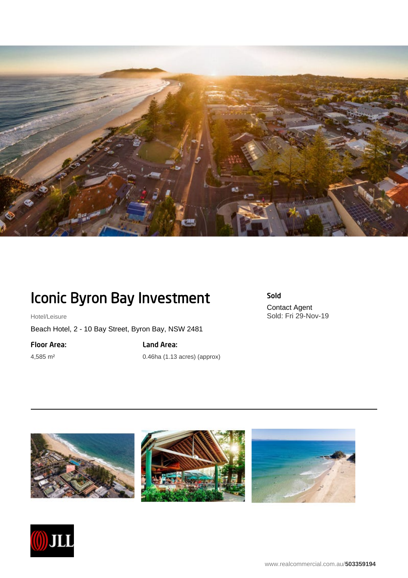

## Iconic Byron Bay Investment

Hotel/Leisure

Beach Hotel, 2 - 10 Bay Street, Byron Bay, NSW 2481

Floor Area:

4,585 m²

Land Area: 0.46ha (1.13 acres) (approx) Sold Contact Agent Sold: Fri 29-Nov-19